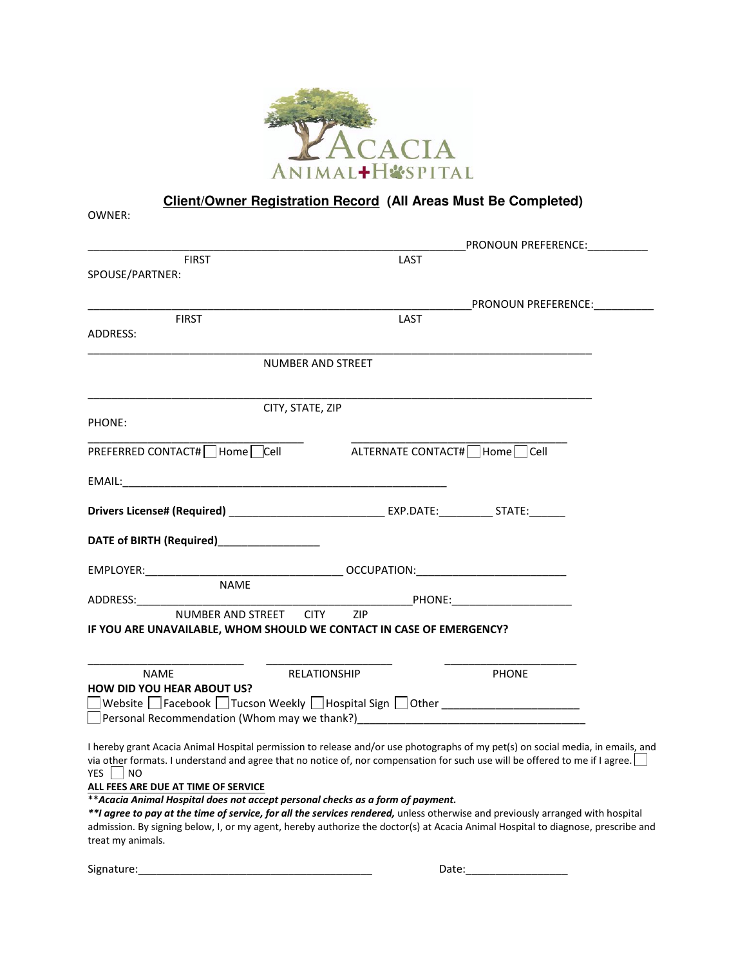

**Client/Owner Registration Record (All Areas Must Be Completed)**

| OWNER:                                                                                                                                                                                                                                                                 |                          |                                  |  |
|------------------------------------------------------------------------------------------------------------------------------------------------------------------------------------------------------------------------------------------------------------------------|--------------------------|----------------------------------|--|
|                                                                                                                                                                                                                                                                        |                          | PRONOUN PREFERENCE:              |  |
| <b>FIRST</b>                                                                                                                                                                                                                                                           | LAST                     |                                  |  |
| SPOUSE/PARTNER:                                                                                                                                                                                                                                                        |                          |                                  |  |
|                                                                                                                                                                                                                                                                        |                          | PRONOUN PREFERENCE:              |  |
| <b>FIRST</b>                                                                                                                                                                                                                                                           | LAST                     |                                  |  |
| ADDRESS:                                                                                                                                                                                                                                                               |                          |                                  |  |
|                                                                                                                                                                                                                                                                        | <b>NUMBER AND STREET</b> |                                  |  |
| CITY, STATE, ZIP                                                                                                                                                                                                                                                       |                          |                                  |  |
| PHONE:                                                                                                                                                                                                                                                                 |                          |                                  |  |
| PREFERRED CONTACT#□ Home Cell                                                                                                                                                                                                                                          |                          | ALTERNATE CONTACT#   Home   Cell |  |
|                                                                                                                                                                                                                                                                        |                          |                                  |  |
|                                                                                                                                                                                                                                                                        |                          |                                  |  |
| DATE of BIRTH (Required) <b>DATE of BIRTH</b>                                                                                                                                                                                                                          |                          |                                  |  |
| EMPLOYER:_____________                                                                                                                                                                                                                                                 |                          |                                  |  |
| <b>NAME</b>                                                                                                                                                                                                                                                            |                          |                                  |  |
| ADDRESS: ADDRESS:<br>NUMBER AND STREET CITY ZIP                                                                                                                                                                                                                        |                          | <b>EXAMPLE PHONE:</b> PHONE:     |  |
| IF YOU ARE UNAVAILABLE, WHOM SHOULD WE CONTACT IN CASE OF EMERGENCY?                                                                                                                                                                                                   |                          |                                  |  |
|                                                                                                                                                                                                                                                                        |                          |                                  |  |
| <b>NAME</b>                                                                                                                                                                                                                                                            | <b>RELATIONSHIP</b>      | <b>PHONE</b>                     |  |
| <b>HOW DID YOU HEAR ABOUT US?</b>                                                                                                                                                                                                                                      |                          |                                  |  |
| Personal Recommendation (Whom may we thank?) ___________________________________                                                                                                                                                                                       |                          |                                  |  |
|                                                                                                                                                                                                                                                                        |                          |                                  |  |
| I hereby grant Acacia Animal Hospital permission to release and/or use photographs of my pet(s) on social media, in emails, and<br>via other formats. I understand and agree that no notice of, nor compensation for such use will be offered to me if I agree. $\Box$ |                          |                                  |  |
| YES<br>NO.                                                                                                                                                                                                                                                             |                          |                                  |  |
| ALL FEES ARE DUE AT TIME OF SERVICE                                                                                                                                                                                                                                    |                          |                                  |  |
| ** Acacia Animal Hospital does not accept personal checks as a form of payment.<br>**I agree to pay at the time of service, for all the services rendered, unless otherwise and previously arranged with hospital                                                      |                          |                                  |  |
| admission. By signing below, I, or my agent, hereby authorize the doctor(s) at Acacia Animal Hospital to diagnose, prescribe and<br>treat my animals.                                                                                                                  |                          |                                  |  |
|                                                                                                                                                                                                                                                                        |                          |                                  |  |

Signature:\_\_\_\_\_\_\_\_\_\_\_\_\_\_\_\_\_\_\_\_\_\_\_\_\_\_\_\_\_\_\_\_\_\_\_\_\_\_\_ Date:\_\_\_\_\_\_\_\_\_\_\_\_\_\_\_\_\_